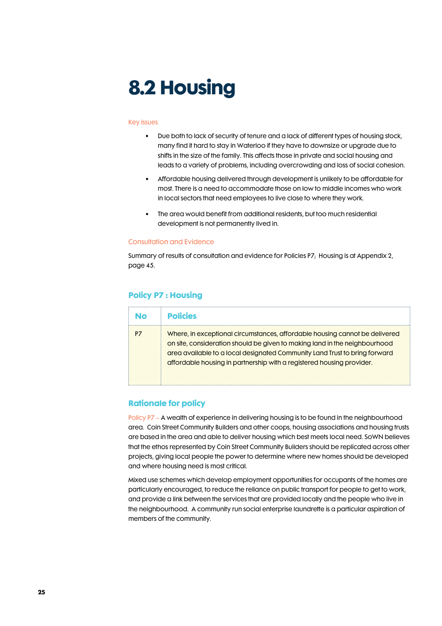# 8.2 Housing

### Key issues

- Due both to lack of security of tenure and a lack of different types of housing stock, many find it hard to stay in Waterloo if they have to downsize or upgrade due to shifts in the size of the family. This affects those in private and social housing and leads to a variety of problems, including overcrowding and loss of social cohesion.
- Affordable housing delivered through development is unlikely to be affordable for most. There is a need to accommodate those on low to middle incomes who work in local sectors that need employees to live close to where they work.
- The area would benefit from additional residents, but too much residential development is not permanently lived in.

### Consultation and Evidence

Summary of results of consultation and evidence for Policies P7; Housing is at Appendix 2, page 45.

## Policy P7 : Housing

| No | <b>Policies</b>                                                                                                                                                                                                                                                                                                  |
|----|------------------------------------------------------------------------------------------------------------------------------------------------------------------------------------------------------------------------------------------------------------------------------------------------------------------|
|    | Where, in exceptional circumstances, affordable housing cannot be delivered<br>on site, consideration should be given to making land in the neighbourhood<br>area available to a local designated Community Land Trust to bring forward<br>affordable housing in partnership with a registered housing provider. |

## Rationale for policy

Policy P7 – A wealth of experience in delivering housing is to be found in the neighbourhood area. Coin Street Community Builders and other coops, housing associations and housing trusts are based in the area and able to deliver housing which best meets local need. SoWN believes that the ethos represented by Coin Street Community Builders should be replicated across other projects, giving local people the power to determine where new homes should be developed and where housing need is most critical.

Mixed use schemes which develop employment opportunities for occupants of the homes are particularly encouraged, to reduce the reliance on public transport for people to get to work, and provide a link between the services that are provided locally and the people who live in the neighbourhood. A community run social enterprise laundrette is a particular aspiration of members of the community.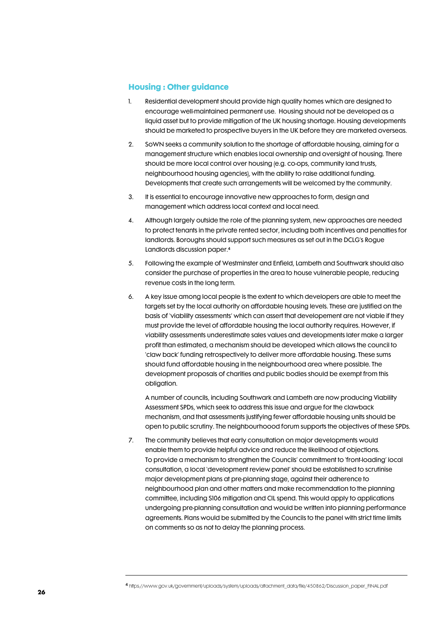## Housing : Other guidance

- 1. Residential development should provide high quality homes which are designed to encourage well-maintained permanent use. Housing should not be developed as a liquid asset but to provide mitigation of the UK housing shortage. Housing developments should be marketed to prospective buyers in the UK before they are marketed overseas.
- 2. SoWN seeks a community solution to the shortage of affordable housing, aiming for a management structure which enables local ownership and oversight of housing. There should be more local control over housing (e.g. co-ops, community land trusts, neighbourhood housing agencies), with the ability to raise additional funding. Developments that create such arrangements will be welcomed by the community.
- 3. It is essential to encourage innovative new approaches to form, design and management which address local context and local need.
- 4. Although largely outside the role of the planning system, new approaches are needed to protect tenants in the private rented sector, including both incentives and penalties for landlords. Boroughs should support such measures as set out in the DCLG's Rogue Landlords discussion paper.<sup>4</sup>
- 5. Following the example of Westminster and Enfield, Lambeth and Southwark should also consider the purchase of properties in the area to house vulnerable people, reducing revenue costs in the long term.
- 6. A key issue among local people is the extent to which developers are able to meet the targets set by the local authority on affordable housing levels. These are justified on the basis of 'viability assessments' which can assert that developement are not viable if they must provide the level of affordable housing the local authority requires. However, if viability assessments underestimate sales values and developments later make a larger profit than estimated, a mechanism should be developed which allows the council to 'claw back' funding retrospectively to deliver more affordable housing. These sums should fund affordable housing in the neighbourhood area where possible. The development proposals of charities and public bodies should be exempt from this obligation.

A number of councils, including Southwark and Lambeth are now producing Viability Assessment SPDs, which seek to address this issue and argue for the clawback mechanism, and that assessments justifying fewer affordable housing units should be open to public scrutiny. The neighbourhoood forum supports the objectives of these SPDs.

7. The community believes that early consultation on major developments would enable them to provide helpful advice and reduce the likelihood of objections. To provide a mechanism to strengthen the Councils' commitment to 'front-loading' local consultation, a local 'development review panel' should be established to scrutinise major development plans at pre-planning stage, against their adherence to neighbourhood plan and other matters and make recommendation to the planning committee, including S106 mitigation and CIL spend. This would apply to applications undergoing pre-planning consultation and would be written into planning performance agreements. Plans would be submitted by the Councils to the panel with strict time limits on comments so as not to delay the planning process.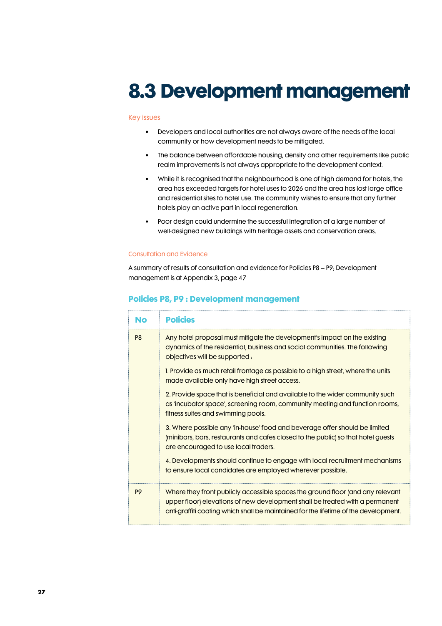# 8.3 Development management

### Key issues

- Developers and local authorities are not always aware of the needs of the local community or how development needs to be mitigated.
- The balance between affordable housing, density and other requirements like public realm improvements is not always appropriate to the development context.
- While it is recognised that the neighbourhood is one of high demand for hotels, the area has exceeded targets for hotel uses to 2026 and the area has lost large office and residential sites to hotel use. The community wishes to ensure that any further hotels play an active part in local regeneration.
- Poor design could undermine the successful integration of a large number of well-designed new buildings with heritage assets and conservation areas.

### Consultation and Evidence

A summary of results of consultation and evidence for Policies P8 – P9; Development management is at Appendix 3, page 47

## Policies P8, P9 : Development management

| <b>No</b>      | <b>Policies</b>                                                                                                                                                                                                                                        |  |  |
|----------------|--------------------------------------------------------------------------------------------------------------------------------------------------------------------------------------------------------------------------------------------------------|--|--|
| P <sub>8</sub> | Any hotel proposal must mitigate the development's impact on the existing<br>dynamics of the residential, business and social communities. The following<br>objectives will be supported :                                                             |  |  |
|                | 1. Provide as much retail frontage as possible to a high street, where the units<br>made available only have high street access.                                                                                                                       |  |  |
|                | 2. Provide space that is beneficial and available to the wider community such<br>as 'incubator space', screening room, community meeting and function rooms,<br>fitness suites and swimming pools.                                                     |  |  |
|                | 3. Where possible any 'in-house' food and beverage offer should be limited<br>(minibars, bars, restaurants and cafes closed to the public) so that hotel guests<br>are encouraged to use local traders.                                                |  |  |
|                | 4. Developments should continue to engage with local recruitment mechanisms<br>to ensure local candidates are employed wherever possible.                                                                                                              |  |  |
| P <sub>9</sub> | Where they front publicly accessible spaces the ground floor (and any relevant<br>upper floor) elevations of new development shall be treated with a permanent<br>anti-graffiti coating which shall be maintained for the lifetime of the development. |  |  |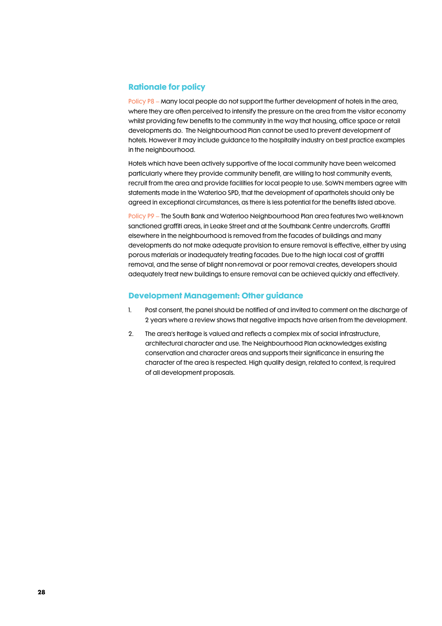## Rationale for policy

Policy P8 – Many local people do not support the further development of hotels in the area, where they are often perceived to intensify the pressure on the area from the visitor economy whilst providing few benefits to the community in the way that housing, office space or retail developments do. The Neighbourhood Plan cannot be used to prevent development of hotels. However it may include guidance to the hospitality industry on best practice examples in the neighbourhood.

Hotels which have been actively supportive of the local community have been welcomed particularly where they provide community benefit, are willing to host community events, recruit from the area and provide facilities for local people to use. SoWN members agree with statements made in the Waterloo SPD, that the development of aparthotels should only be agreed in exceptional circumstances, as there is less potential for the benefits listed above.

Policy P9 – The South Bank and Waterloo Neighbourhood Plan area features two well-known sanctioned graffiti areas, in Leake Street and at the Southbank Centre undercrofts. Graffiti elsewhere in the neighbourhood is removed from the facades of buildings and many developments do not make adequate provision to ensure removal is effective, either by using porous materials or inadequately treating facades. Due to the high local cost of graffiti removal, and the sense of blight non-removal or poor removal creates, developers should adequately treat new buildings to ensure removal can be achieved quickly and effectively.

## Development Management: Other guidance

- 1. Post consent, the panel should be notified of and invited to comment on the discharge of 2 years where a review shows that negative impacts have arisen from the development.
- 2. The area's heritage is valued and reflects a complex mix of social infrastructure, architectural character and use. The Neighbourhood Plan acknowledges existing conservation and character areas and supports their significance in ensuring the character of the area is respected. High quality design, related to context, is required of all development proposals.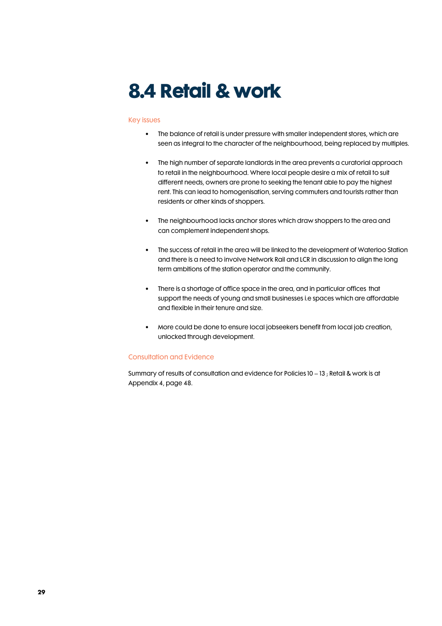# 8.4 Retail & work

### Key issues

- The balance of retail is under pressure with smaller independent stores, which are seen as integral to the character of the neighbourhood, being replaced by multiples.
- The high number of separate landlords in the area prevents a curatorial approach to retail in the neighbourhood. Where local people desire a mix of retail to suit different needs, owners are prone to seeking the tenant able to pay the highest rent. This can lead to homogenisation, serving commuters and tourists rather than residents or other kinds of shoppers.
- The neighbourhood lacks anchor stores which draw shoppers to the area and can complement independent shops.
- The success of retail in the area will be linked to the development of Waterloo Station and there is a need to involve Network Rail and LCR in discussion to align the long term ambitions of the station operator and the community.
- There is a shortage of office space in the area, and in particular offices that support the needs of young and small businesses i.e spaces which are affordable and flexible in their tenure and size.
- More could be done to ensure local jobseekers benefit from local job creation, unlocked through development.

### Consultation and Evidence

Summary of results of consultation and evidence for Policies 10 – 13 ; Retail & work is at Appendix 4, page 48.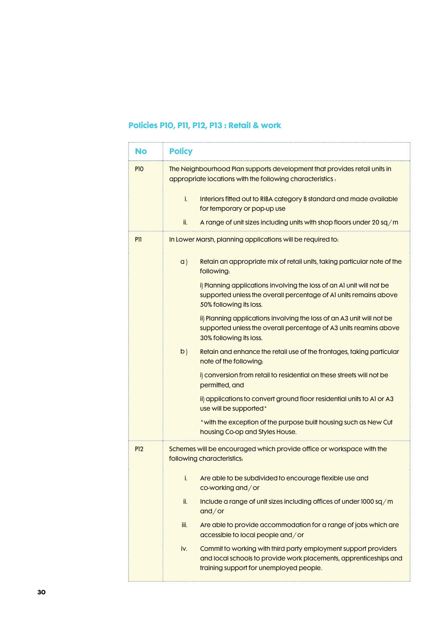# Policies P10, P11, P12, P13 : Retail & work

| No              | <b>Policy</b>                                                                                                                                                                          |
|-----------------|----------------------------------------------------------------------------------------------------------------------------------------------------------------------------------------|
| P <sub>10</sub> | The Neighbourhood Plan supports development that provides retail units in<br>appropriate locations with the following characteristics:                                                 |
|                 | i.<br>Interiors fitted out to RIBA category B standard and made available<br>for temporary or pop-up use                                                                               |
|                 | ii.<br>A range of unit sizes including units with shop floors under 20 sq/m                                                                                                            |
| P <sub>11</sub> | In Lower Marsh, planning applications will be required to:                                                                                                                             |
|                 | a)<br>Retain an appropriate mix of retail units, taking particular note of the<br>following:                                                                                           |
|                 | i) Planning applications involving the loss of an A1 unit will not be<br>supported unless the overall percentage of A1 units remains above<br>50% following its loss.                  |
|                 | ii) Planning applications involving the loss of an A3 unit will not be<br>supported unless the overall percentage of A3 units reamins above<br>30% following its loss.                 |
|                 | b)<br>Retain and enhance the retail use of the frontages, taking particular<br>note of the following.                                                                                  |
|                 | i) conversion from retail to residential on these streets will not be<br>permitted, and                                                                                                |
|                 | ii) applications to convert ground floor residential units to A1 or A3<br>use will be supported*                                                                                       |
|                 | * with the exception of the purpose built housing such as New Cut<br>housing Co-op and Styles House.                                                                                   |
| <b>P12</b>      | Schemes will be encouraged which provide office or workspace with the<br>following characteristics:                                                                                    |
|                 | Are able to be subdivided to encourage flexible use and<br>i.<br>co-working and/or                                                                                                     |
|                 | ii.<br>Include a range of unit sizes including offices of under 1000 sq/m<br>and/or                                                                                                    |
|                 | iii.<br>Are able to provide accommodation for a range of jobs which are<br>accessible to local people and/or                                                                           |
|                 | Commit to working with third party employment support providers<br>iv.<br>and local schools to provide work placements, apprenticeships and<br>training support for unemployed people. |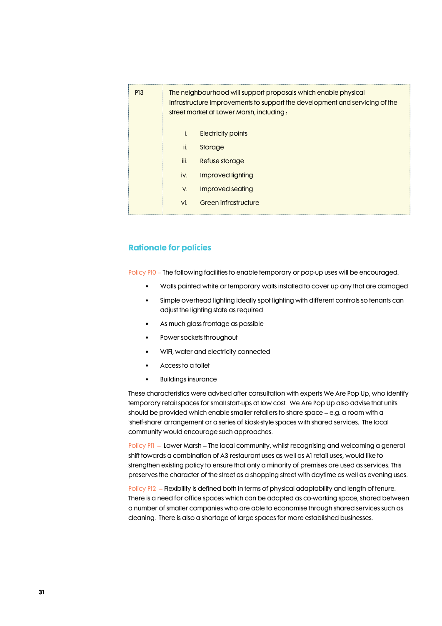| <b>P13</b> | The neighbourhood will support proposals which enable physical<br>infrastructure improvements to support the development and servicing of the<br>street market at Lower Marsh, including : |                           |  |  |
|------------|--------------------------------------------------------------------------------------------------------------------------------------------------------------------------------------------|---------------------------|--|--|
|            | i.                                                                                                                                                                                         | <b>Electricity points</b> |  |  |
|            | ii.                                                                                                                                                                                        | Storage                   |  |  |
|            | iii.                                                                                                                                                                                       | Refuse storage            |  |  |
|            | iv.                                                                                                                                                                                        | Improved lighting         |  |  |
|            | V.                                                                                                                                                                                         | Improved seating          |  |  |
|            | vi.                                                                                                                                                                                        | Green infrastructure      |  |  |

## Rationale for policies

Policy P10 – The following facilities to enable temporary or pop-up uses will be encouraged.

- Walls painted white or temporary walls installed to cover up any that are damaged
- Simple overhead lighting ideally spot lighting with different controls so tenants can adjust the lighting state as required
- As much glass frontage as possible
- Power sockets throughout
- WiFi, water and electricity connected
- Access to a toilet
- Buildings insurance

These characteristics were advised after consultation with experts We Are Pop Up, who identify temporary retail spaces for small start-ups at low cost. We Are Pop Up also advise that units should be provided which enable smaller retailers to share space – e.g. a room with a 'shelf-share' arrangement or a series of kiosk-style spaces with shared services. The local community would encourage such approaches.

Policy P11 – Lower Marsh – The local community, whilst recognising and welcoming a general shift towards a combination of A3 restaurant uses as well as A1 retail uses, would like to strengthen existing policy to ensure that only a minority of premises are used as services. This preserves the character of the street as a shopping street with daytime as well as evening uses.

Policy P12 – Flexibility is defined both in terms of physical adaptability and length of tenure. There is a need for office spaces which can be adapted as co-working space, shared between a number of smaller companies who are able to economise through shared services such as cleaning. There is also a shortage of large spaces for more established businesses.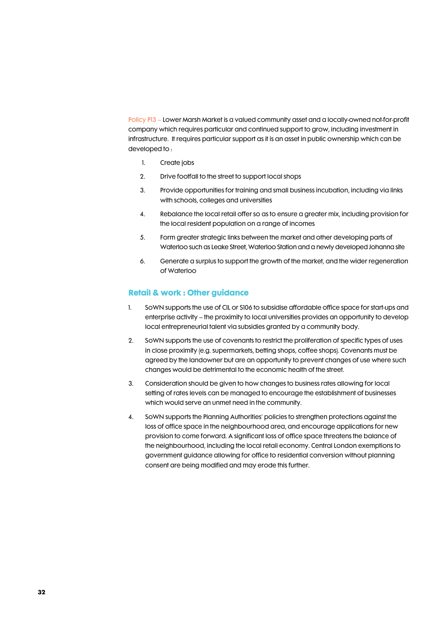Policy P13 – Lower Marsh Market is a valued community asset and a locally-owned not-for-profit company which requires particular and continued support to grow, including investment in infrastructure. It requires particular support as it is an asset in public ownership which can be developed to :

- 1. Create jobs
- 2. Drive footfall to the street to support local shops
- 3. Provide opportunities for training and small business incubation, including via links with schools, colleges and universities
- 4. Rebalance the local retail offer so as to ensure a greater mix, including provision for the local resident population on a range of incomes
- 5. Form greater strategic links between the market and other developing parts of Waterloo such as Leake Street, Waterloo Station and a newly developed Johanna site
- 6. Generate a surplus to support the growth of the market, and the wider regeneration of Waterloo

## Retail & work : Other guidance

- 1. SoWN supports the use of CIL or S106 to subsidise affordable office space for start-ups and enterprise activity – the proximity to local universities provides an opportunity to develop local entrepreneurial talent via subsidies granted by a community body.
- 2. SoWN supports the use of covenants to restrict the proliferation of specific types of uses in close proximity (e.g. supermarkets, betting shops, coffee shops). Covenants must be agreed by the landowner but are an opportunity to prevent changes of use where such changes would be detrimental to the economic health of the street.
- 3. Consideration should be given to how changes to business rates allowing for local setting of rates levels can be managed to encourage the establishment of businesses which would serve an unmet need in the community.
- 4. SoWN supports the Planning Authorities' policies to strengthen protections against the loss of office space in the neighbourhood area, and encourage applications for new provision to come forward. A significant loss of office space threatens the balance of the neighbourhood, including the local retail economy. Central London exemptions to government guidance allowing for office to residential conversion without planning consent are being modified and may erode this further.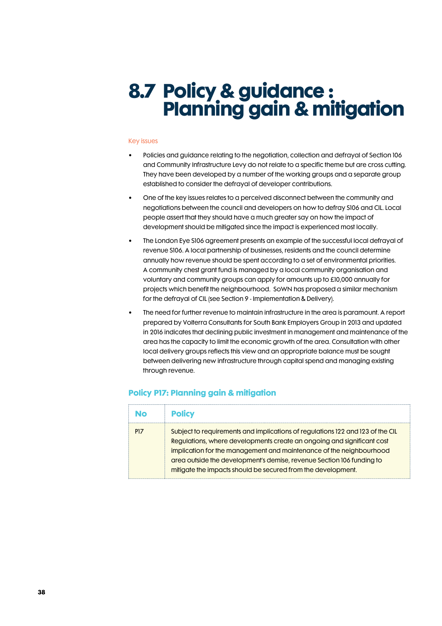# 8.7 Policy & guidance : Planning gain & mitigation

### Key issues

- Policies and guidance relating to the negotiation, collection and defrayal of Section 106 and Community Infrastructure Levy do not relate to a specific theme but are cross cutting. They have been developed by a number of the working groups and a separate group established to consider the defrayal of developer contributions.
- One of the key issues relates to a perceived disconnect between the community and negotiations between the council and developers on how to defray S106 and CIL. Local people assert that they should have a much greater say on how the impact of development should be mitigated since the impact is experienced most locally.
- The London Eye S106 agreement presents an example of the successful local defrayal of revenue S106. A local partnership of businesses, residents and the council determine annually how revenue should be spent according to a set of environmental priorities. A community chest grant fund is managed by a local community organisation and voluntary and community groups can apply for amounts up to £10,000 annually for projects which benefit the neighbourhood. SoWN has proposed a similar mechanism for the defrayal of CIL (see Section 9 - Implementation & Delivery).
- The need for further revenue to maintain infrastructure in the area is paramount. A report prepared by Volterra Consultants for South Bank Employers Group in 2013 and updated in 2016 indicates that declining public investment in management and maintenance of the area has the capacity to limit the economic growth of the area. Consultation with other local delivery groups reflects this view and an appropriate balance must be sought between delivering new infrastructure through capital spend and managing existing through revenue.

| Nο              | <b>Policy</b>                                                                                                                                                                                                                                                                                                                                                            |
|-----------------|--------------------------------------------------------------------------------------------------------------------------------------------------------------------------------------------------------------------------------------------------------------------------------------------------------------------------------------------------------------------------|
| P <sub>17</sub> | Subject to requirements and implications of regulations 122 and 123 of the CIL<br>Regulations, where developments create an ongoing and significant cost<br>implication for the management and maintenance of the neighbourhood<br>area outside the development's demise, revenue Section 106 funding to<br>mitigate the impacts should be secured from the development. |

### Policy P17: Planning gain & mitigation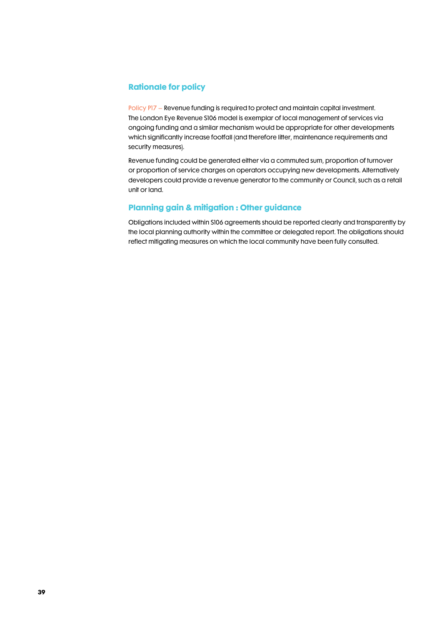## Rationale for policy

Policy P17 – Revenue funding is required to protect and maintain capital investment. The London Eye Revenue S106 model is exemplar of local management of services via ongoing funding and a similar mechanism would be appropriate for other developments which significantly increase footfall (and therefore litter, maintenance requirements and security measures).

Revenue funding could be generated either via a commuted sum, proportion of turnover or proportion of service charges on operators occupying new developments. Alternatively developers could provide a revenue generator to the community or Council, such as a retail unit or land.

## Planning gain & mitigation : Other guidance

Obligations included within S106 agreements should be reported clearly and transparently by the local planning authority within the committee or delegated report. The obligations should reflect mitigating measures on which the local community have been fully consulted.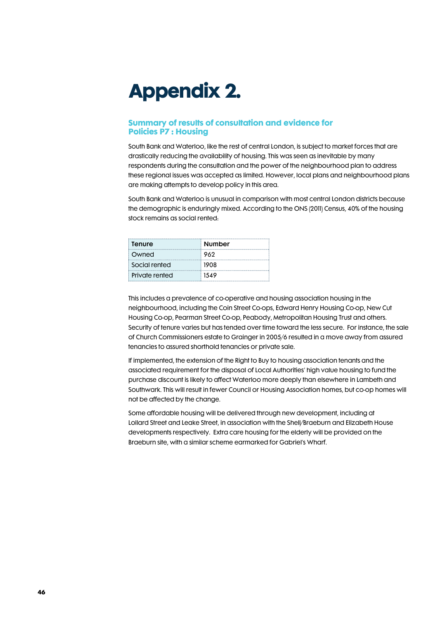# Appendix 2.

## Summary of results of consultation and evidence for Policies P7 : Housing

South Bank and Waterloo, like the rest of central London, is subject to market forces that are drastically reducing the availability of housing. This was seen as inevitable by many respondents during the consultation and the power of the neighbourhood plan to address these regional issues was accepted as limited. However, local plans and neighbourhood plans are making attempts to develop policy in this area.

South Bank and Waterloo is unusual in comparison with most central London districts because the demographic is enduringly mixed. According to the ONS (2011) Census, 40% of the housing stock remains as social rented:

| Tenure         | <b>Number</b> |  |
|----------------|---------------|--|
| Owned          | 962           |  |
| Social rented  | 1908          |  |
| Private rented | 1549          |  |

This includes a prevalence of co-operative and housing association housing in the neighbourhood, including the Coin Street Co-ops, Edward Henry Housing Co-op, New Cut Housing Co-op, Pearman Street Co-op, Peabody, Metropolitan Housing Trust and others. Security of tenure varies but has tended over time toward the less secure. For instance, the sale of Church Commissioners estate to Grainger in 2005/6 resulted in a move away from assured tenancies to assured shorthold tenancies or private sale.

If implemented, the extension of the Right to Buy to housing association tenants and the associated requirement for the disposal of Local Authorities' high value housing to fund the purchase discount is likely to affect Waterloo more deeply than elsewhere in Lambeth and Southwark. This will result in fewer Council or Housing Association homes, but co-op homes will not be affected by the change.

Some affordable housing will be delivered through new development, including at Lollard Street and Leake Street, in association with the Shell/Braeburn and Elizabeth House developments respectively. Extra care housing for the elderly will be provided on the Braeburn site, with a similar scheme earmarked for Gabriel's Wharf.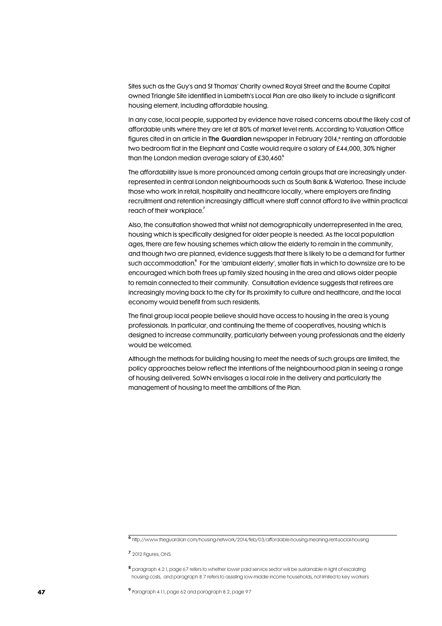Sites such as the Guy's and St Thomas' Charity owned Royal Street and the Bourne Capital owned Triangle Site identified in Lambeth's Local Plan are also likely to include a significant housing element, including affordable housing.

In any case, local people, supported by evidence have raised concerns about the likely cost of affordable units where they are let at 80% of market level rents. According to Valuation Office figures cited in an article in **The Guardian** newspaper in February 2014,<sup>6</sup> renting an affordable two bedroom flat in the Elephant and Castle would require a salary of £44,000, 30% higher than the London median average salary of  $£30,460.6$ 

The affordability issue is more pronounced among certain groups that are increasingly underrepresented in central London neighbourhoods such as South Bank & Waterloo. These include those who work in retail, hospitality and healthcare locally, where employers are finding recruitment and retention increasingly difficult where staff cannot afford to live within practical reach of their workplace.<sup>7</sup>

Also, the consultation showed that whilst not demographically underrepresented in the area, housing which is specifically designed for older people is needed. As the local population ages, there are few housing schemes which allow the elderly to remain in the community, and though two are planned, evidence suggests that there is likely to be a demand for further such accommodation.<sup>8</sup> For the `ambulant elderly', smaller flats in which to downsize are to be encouraged which both frees up family sized housing in the area and allows older people to remain connected to their community. Consultation evidence suggests that retirees are increasingly moving back to the city for its proximity to culture and healthcare, and the local economy would benefit from such residents.

The final group local people believe should have access to housing in the area is young professionals. In particular, and continuing the theme of cooperatives, housing which is designed to increase communality, particularly between young professionals and the elderly would be welcomed.

Although the methods for building housing to meet the needs of such groups are limited, the policy approaches below reflect the intentions of the neighbourhood plan in seeing a range of housing delivered. SoWN envisages a local role in the delivery and particularly the management of housing to meet the ambitions of the Plan.

<sup>6</sup>http://www.theguardian.com/housing-network/2014/feb/03/affordable-housing-meaning-rent-social-housing

<sup>&</sup>lt;sup>7</sup> 2012 Figures, ONS.

<sup>8</sup> paragraph 4.2.1, page 67 refers to whether lower paid service sector will be sustainable in light of escalating housing costs, and paragraph 8.7 refers to assisting low-middle income households, not limited to key workers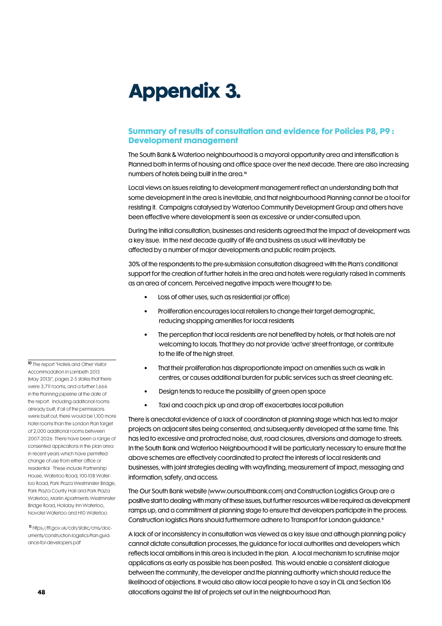# Appendix 3.

## Summary of results of consultation and evidence for Policies P8, P9 : Development management

The South Bank & Waterloo neighbourhood is a mayoral opportunity area and intensification is Planned both in terms of housing and office space over the next decade. There are also increasing numbers of hotels being built in the area.<sup>10</sup>

Local views on issues relating to development management reflect an understanding both that some development in the area is inevitable, and that neighbourhood Planning cannot be a tool for resisting it. Campaigns catalysed by Waterloo Community Development Group and others have been effective where development is seen as excessive or under-consulted upon.

During the initial consultation, businesses and residents agreed that the impact of development was a key issue. In the next decade quality of life and business as usual will inevitably be affected by a number of major developments and public realm projects.

30% of the respondents to the pre-submission consultation disagreed with the Plan's conditional support for the creation of further hotels in the area and hotels were regularly raised in comments as an area of concern. Perceived negative impacts were thought to be:

- Loss of other uses, such as residential (or office)
- Proliferation encourages local retailers to change their target demographic, reducing shopping amenities for local residents
- The perception that local residents are not benefited by hotels, or that hotels are not welcoming to locals. That they do not provide 'active' street frontage, or contribute to the life of the high street.
- That their proliferation has disproportionate impact on amenities such as walk in centres, or causes additional burden for public services such as street cleaning etc.
- Design tends to reduce the possibility of green open space
- Taxi and coach pick up and drop off exacerbates local pollution

There is anecdotal evidence of a lack of coordinaton at planning stage which has led to major projects on adjacent sites being consented, and subsequently developed at the same time. This has led to excessive and protracted noise, dust, road closures, diversions and damage to streets. In the South Bank and Waterloo Neighbourhood it will be particularly necessary to ensure that the above schemes are effectively coordinated to protect the interests of local residents and businesses, with joint strategies dealing with wayfinding, measurement of impact, messaging and information, safety, and access.

The Our South Bank website (www.oursouthbank.com) and Construction Logistics Group are a positive start to dealing with many of these issues, but further resources will be required as development ramps up, and a commitment at planning stage to ensure that developers participate in the process. Construction logistics Plans should furthermore adhere to Transport for London guidance. <sup>11</sup>

A lack of or inconsistency in consultation was viewed as a key issue and although planning policy cannot dictate consultation processes, the guidance for local authorities and developers which reflects local ambitions in this area is included in the plan. A local mechanism to scrutinise major applications as early as possible has been posited. This would enable a consistent dialogue between the community, the developer and the planning authority which should reduce the likelihood of objections. It would also allow local people to have a say in CIL and Section 106 allocations against the list of projects set out in the neighbourhood Plan.

10 The report "Hotels and Other Visitor Accommodation in Lambeth 2013 (May 2013)", pages 2-5 states that there were 3,711 rooms, and a further 1,666 in the Planning pipeline at the date of the report. Including additional rooms already built, if all of the permissions were built out, there would be 1,100 more hotel rooms than the London Plan target of 2,000 additional rooms between 2007-2026. There have been a range of consented applications in the plan area in recent years which have permitted change of use from either office or residential. These include Partnership House, Waterloo Road; 100-108 Waterloo Road, Park Plaza Westminster Bridge, Park Plaza County Hall and Park Plaza Waterloo, Marlin Apartments Westminster Bridge Road, Holiday Inn Waterloo, Novotel Waterloo and H10 Waterloo.

11 https://tfl.gov.uk/cdn/static/cms/documents/construction-logistics-Plan-guidance-for-developers.pdf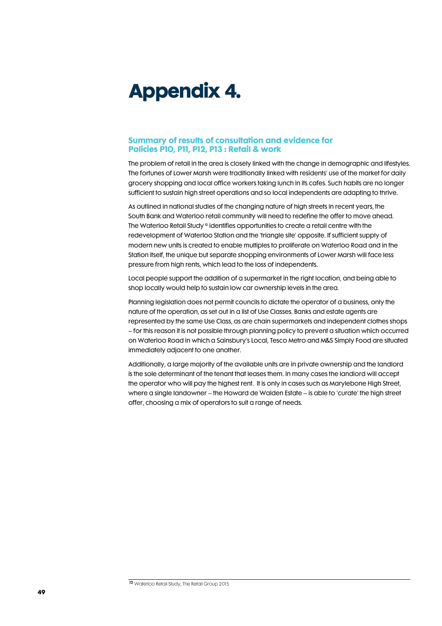# Appendix 4.

## Summary of results of consultation and evidence for Policies P10, P11, P12, P13 : Retail & work

The problem of retail in the area is closely linked with the change in demographic and lifestyles. The fortunes of Lower Marsh were traditionally linked with residents' use of the market for daily grocery shopping and local office workers taking lunch in its cafes. Such habits are no longer sufficient to sustain high street operations and so local independents are adapting to thrive.

As outlined in national studies of the changing nature of high streets in recent years, the South Bank and Waterloo retail community will need to redefine the offer to move ahead. The Waterloo Retail Study<sup>12</sup> identifies opportunities to create a retail centre with the redevelopment of Waterloo Station and the 'triangle site' opposite. If sufficient supply of modern new units is created to enable multiples to proliferate on Waterloo Road and in the Station itself, the unique but separate shopping environments of Lower Marsh will face less pressure from high rents, which lead to the loss of independents.

Local people support the addition of a supermarket in the right location, and being able to shop locally would help to sustain low car ownership levels in the area.

Planning legislation does not permit councils to dictate the operator of a business, only the nature of the operation, as set out in a list of Use Classes. Banks and estate agents are represented by the same Use Class, as are chain supermarkets and independent clothes shops – for this reason it is not possible through planning policy to prevent a situation which occurred on Waterloo Road in which a Sainsbury's Local, Tesco Metro and M&S Simply Food are situated immediately adjacent to one another.

Additionally, a large majority of the available units are in private ownership and the landlord is the sole determinant of the tenant that leases them. In many cases the landlord will accept the operator who will pay the highest rent. It is only in cases such as Marylebone High Street, where a single landowner – the Howard de Walden Estate – is able to 'curate' the high street offer, choosing a mix of operators to suit a range of needs.